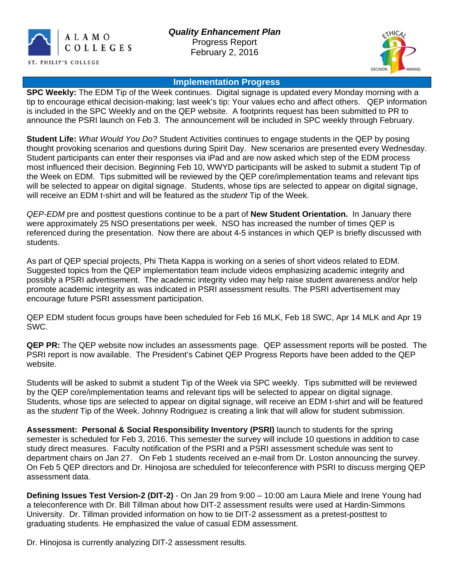



## **Implementation Progress**

**SPC Weekly:** The EDM Tip of the Week continues. Digital signage is updated every Monday morning with a tip to encourage ethical decision-making; last week's tip: Your values echo and affect others. QEP information is included in the SPC Weekly and on the QEP website. A footprints request has been submitted to PR to announce the PSRI launch on Feb 3. The announcement will be included in SPC weekly through February.

**Student Life:** *What Would You Do?* Student Activities continues to engage students in the QEP by posing thought provoking scenarios and questions during Spirit Day. New scenarios are presented every Wednesday. Student participants can enter their responses via iPad and are now asked which step of the EDM process most influenced their decision. Beginning Feb 10, WWYD participants will be asked to submit a student Tip of the Week on EDM. Tips submitted will be reviewed by the QEP core/implementation teams and relevant tips will be selected to appear on digital signage. Students, whose tips are selected to appear on digital signage, will receive an EDM t-shirt and will be featured as the *student* Tip of the Week.

*QEP-EDM* pre and posttest questions continue to be a part of **New Student Orientation.** In January there were approximately 25 NSO presentations per week. NSO has increased the number of times QEP is referenced during the presentation. Now there are about 4-5 instances in which QEP is briefly discussed with students.

As part of QEP special projects, Phi Theta Kappa is working on a series of short videos related to EDM. Suggested topics from the QEP implementation team include videos emphasizing academic integrity and possibly a PSRI advertisement. The academic integrity video may help raise student awareness and/or help promote academic integrity as was indicated in PSRI assessment results. The PSRI advertisement may encourage future PSRI assessment participation.

QEP EDM student focus groups have been scheduled for Feb 16 MLK, Feb 18 SWC, Apr 14 MLK and Apr 19 SWC.

**QEP PR:** The QEP website now includes an assessments page. QEP assessment reports will be posted. The PSRI report is now available. The President's Cabinet QEP Progress Reports have been added to the QEP website.

Students will be asked to submit a student Tip of the Week via SPC weekly. Tips submitted will be reviewed by the QEP core/implementation teams and relevant tips will be selected to appear on digital signage. Students, whose tips are selected to appear on digital signage, will receive an EDM t-shirt and will be featured as the *student* Tip of the Week. Johnny Rodriguez is creating a link that will allow for student submission.

**Assessment: Personal & Social Responsibility Inventory (PSRI)** launch to students for the spring semester is scheduled for Feb 3, 2016. This semester the survey will include 10 questions in addition to case study direct measures. Faculty notification of the PSRI and a PSRI assessment schedule was sent to department chairs on Jan 27. On Feb 1 students received an e-mail from Dr. Loston announcing the survey. On Feb 5 QEP directors and Dr. Hinojosa are scheduled for teleconference with PSRI to discuss merging QEP assessment data.

**Defining Issues Test Version-2 (DIT-2)** - On Jan 29 from 9:00 – 10:00 am Laura Miele and Irene Young had a teleconference with Dr. Bill Tillman about how DIT-2 assessment results were used at Hardin-Simmons University. Dr. Tillman provided information on how to tie DIT-2 assessment as a pretest-posttest to graduating students. He emphasized the value of casual EDM assessment.

Dr. Hinojosa is currently analyzing DIT-2 assessment results.